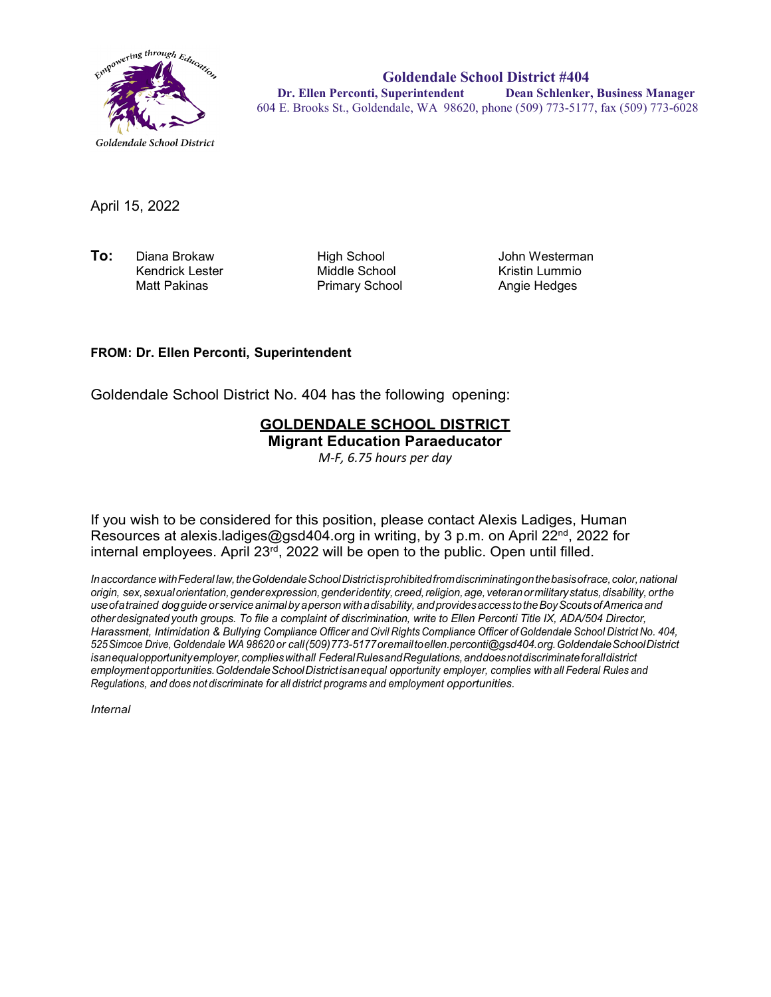

**Goldendale School District #404 Dr. Ellen Perconti, Superintendent Dean Schlenker, Business Manager** 604 E. Brooks St., Goldendale, WA 98620, phone (509) 773-5177, fax (509) 773-6028

April 15, 2022

**To:** Diana Brokaw High School John Westerman Kendrick Lester Middle School Kristin Lummio

Primary School

## **FROM: Dr. Ellen Perconti, Superintendent**

Goldendale School District No. 404 has the following opening:

## **GOLDENDALE SCHOOL DISTRICT Migrant Education Paraeducator**

*M-F, 6.75 hours per day*

If you wish to be considered for this position, please contact Alexis Ladiges, Human Resources at alexis.ladiges@gsd404.org in writing, by 3 p.m. on April 22<sup>nd</sup>, 2022 for internal employees. April 23rd, 2022 will be open to the public. Open until filled.

*InaccordancewithFederal law,theGoldendaleSchoolDistrictisprohibitedfromdiscriminatingonthebasisofrace,color,national origin, sex,sexualorientation,genderexpression,genderidentity, creed,religion,age, veteranormilitarystatus,disability, orthe useofatrained dogguide orservice animal by aperson withadisability, andprovidesaccess totheBoyScouts ofAmerica and other designated youth groups. To file a complaint of discrimination, write to Ellen Perconti Title IX, ADA/504 Director, Harassment, Intimidation & Bullying Compliance Officer and Civil Rights Compliance Officer ofGoldendale School District No. 404, 525Simcoe Drive, Goldendale WA 98620 or call(509)773-5177oremailt[oellen.perconti@gsd404.org.G](mailto:ellen.perconti@gsd404.org)oldendaleSchoolDistrict isanequalopportunityemployer,complieswithall FederalRulesandRegulations,anddoesnotdiscriminateforalldistrict employmentopportunities.GoldendaleSchoolDistrictisanequal opportunity employer, complies with all Federal Rules and Regulations, and does not discriminate for all district programs and employment opportunities.*

*Internal*